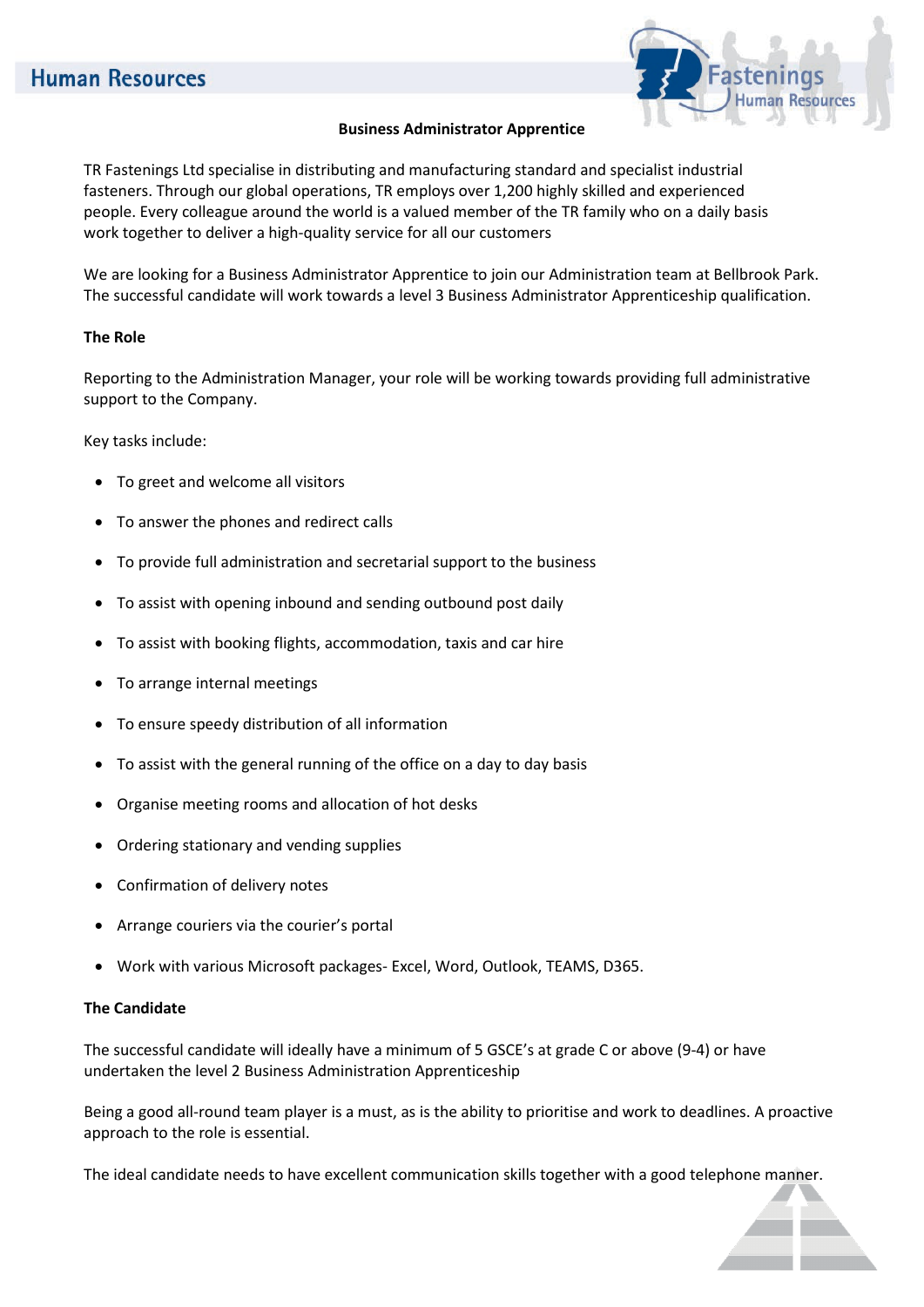

## **Business Administrator Apprentice**

TR Fastenings Ltd specialise in distributing and manufacturing standard and specialist industrial fasteners. Through our global operations, TR employs over 1,200 highly skilled and experienced people. Every colleague around the world is a valued member of the TR family who on a daily basis work together to deliver a high-quality service for all our customers

We are looking for a Business Administrator Apprentice to join our Administration team at Bellbrook Park. The successful candidate will work towards a level 3 Business Administrator Apprenticeship qualification.

## **The Role**

Reporting to the Administration Manager, your role will be working towards providing full administrative support to the Company.

Key tasks include:

- To greet and welcome all visitors
- To answer the phones and redirect calls
- To provide full administration and secretarial support to the business
- To assist with opening inbound and sending outbound post daily
- To assist with booking flights, accommodation, taxis and car hire
- To arrange internal meetings
- To ensure speedy distribution of all information
- To assist with the general running of the office on a day to day basis
- Organise meeting rooms and allocation of hot desks
- Ordering stationary and vending supplies
- Confirmation of delivery notes
- Arrange couriers via the courier's portal
- Work with various Microsoft packages- Excel, Word, Outlook, TEAMS, D365.

#### **The Candidate**

The successful candidate will ideally have a minimum of 5 GSCE's at grade C or above (9-4) or have undertaken the level 2 Business Administration Apprenticeship

Being a good all-round team player is a must, as is the ability to prioritise and work to deadlines. A proactive approach to the role is essential.

The ideal candidate needs to have excellent communication skills together with a good telephone manner.